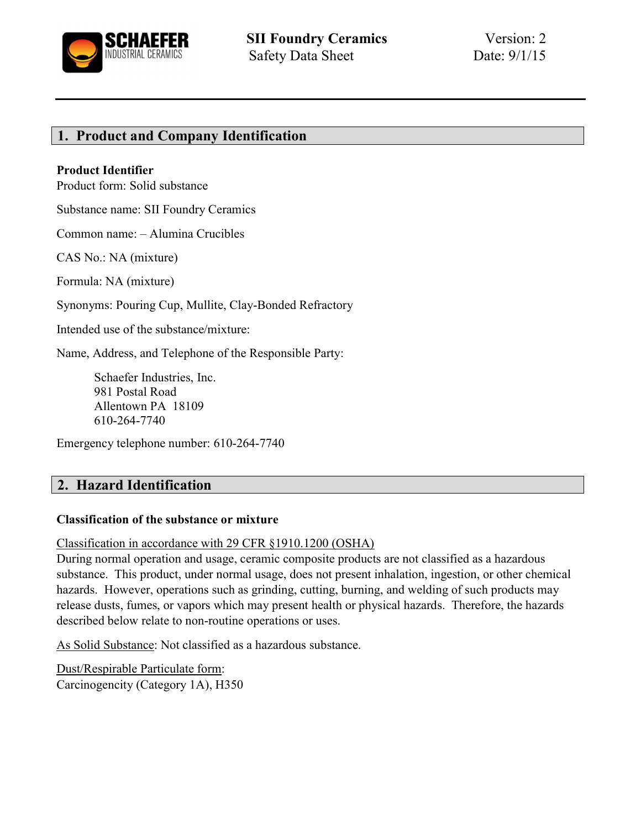

# 1. Product and Company Identification

#### Product Identifier

Product form: Solid substance

Substance name: SII Foundry Ceramics

Common name: – Alumina Crucibles

CAS No.: NA (mixture)

Formula: NA (mixture)

Synonyms: Pouring Cup, Mullite, Clay-Bonded Refractory

Intended use of the substance/mixture:

Name, Address, and Telephone of the Responsible Party:

Schaefer Industries, Inc. 981 Postal Road Allentown PA 18109 610-264-7740

Emergency telephone number: 610-264-7740

## 2. Hazard Identification

#### Classification of the substance or mixture

Classification in accordance with 29 CFR §1910.1200 (OSHA)

During normal operation and usage, ceramic composite products are not classified as a hazardous substance. This product, under normal usage, does not present inhalation, ingestion, or other chemical hazards. However, operations such as grinding, cutting, burning, and welding of such products may release dusts, fumes, or vapors which may present health or physical hazards. Therefore, the hazards described below relate to non-routine operations or uses.

As Solid Substance: Not classified as a hazardous substance.

Dust/Respirable Particulate form: Carcinogencity (Category 1A), H350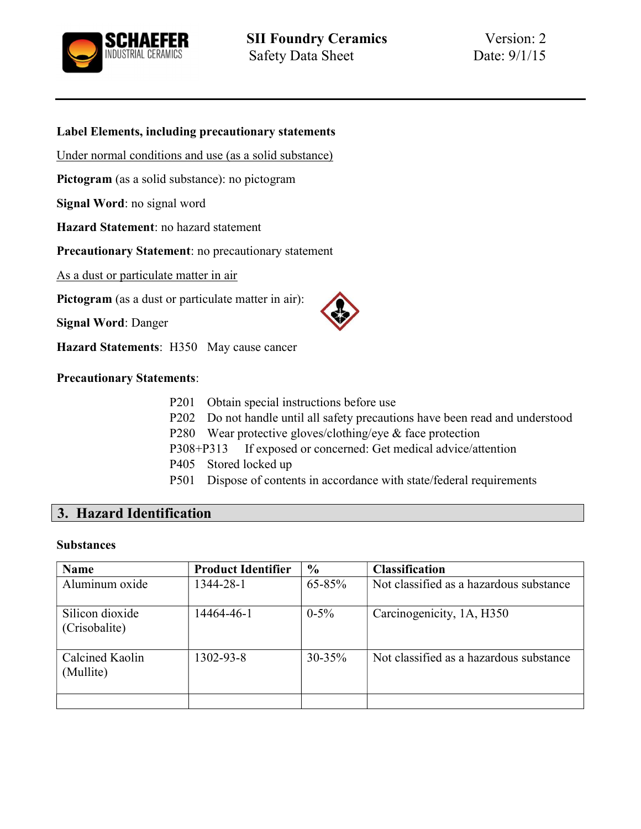

#### Label Elements, including precautionary statements

Under normal conditions and use (as a solid substance)

Pictogram (as a solid substance): no pictogram

Signal Word: no signal word

Hazard Statement: no hazard statement

Precautionary Statement: no precautionary statement

As a dust or particulate matter in air

Pictogram (as a dust or particulate matter in air):

Signal Word: Danger

Hazard Statements: H350 May cause cancer

Precautionary Statements:

- P201 Obtain special instructions before use
- P202 Do not handle until all safety precautions have been read and understood
- P280 Wear protective gloves/clothing/eye & face protection
- P308+P313 If exposed or concerned: Get medical advice/attention
- P405 Stored locked up
- P501 Dispose of contents in accordance with state/federal requirements

# 3. Hazard Identification

#### **Substances**

| <b>Name</b>                      | <b>Product Identifier</b> | $\frac{6}{9}$ | <b>Classification</b>                   |
|----------------------------------|---------------------------|---------------|-----------------------------------------|
| Aluminum oxide                   | 1344-28-1                 | 65-85%        | Not classified as a hazardous substance |
| Silicon dioxide<br>(Crisobalite) | 14464-46-1                | $0-5%$        | Carcinogenicity, 1A, H350               |
| Calcined Kaolin<br>(Mullite)     | 1302-93-8                 | $30 - 35%$    | Not classified as a hazardous substance |
|                                  |                           |               |                                         |

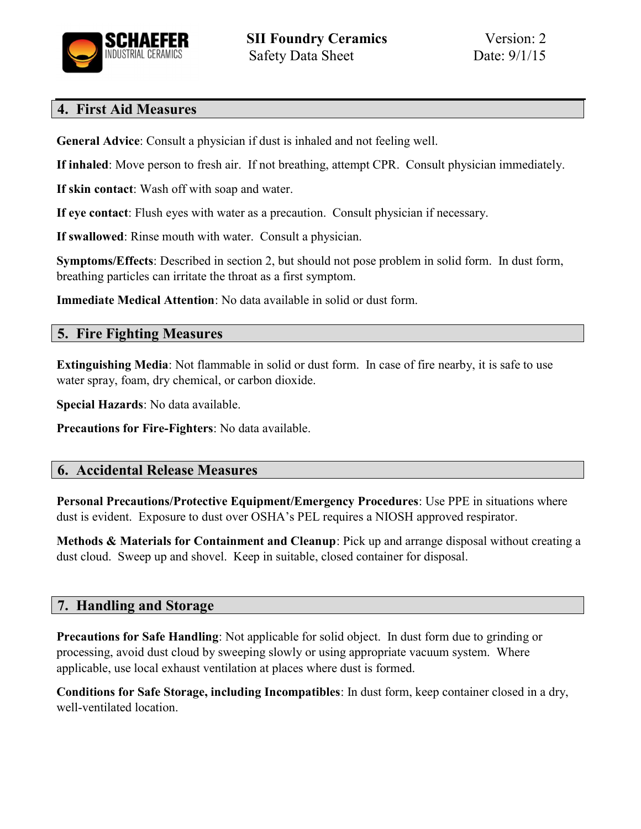

# 4. First Aid Measures

General Advice: Consult a physician if dust is inhaled and not feeling well.

If inhaled: Move person to fresh air. If not breathing, attempt CPR. Consult physician immediately.

If skin contact: Wash off with soap and water.

If eye contact: Flush eyes with water as a precaution. Consult physician if necessary.

If swallowed: Rinse mouth with water. Consult a physician.

Symptoms/Effects: Described in section 2, but should not pose problem in solid form. In dust form, breathing particles can irritate the throat as a first symptom.

Immediate Medical Attention: No data available in solid or dust form.

# 5. Fire Fighting Measures

Extinguishing Media: Not flammable in solid or dust form. In case of fire nearby, it is safe to use water spray, foam, dry chemical, or carbon dioxide.

Special Hazards: No data available.

Precautions for Fire-Fighters: No data available.

# 6. Accidental Release Measures

Personal Precautions/Protective Equipment/Emergency Procedures: Use PPE in situations where dust is evident. Exposure to dust over OSHA's PEL requires a NIOSH approved respirator.

Methods & Materials for Containment and Cleanup: Pick up and arrange disposal without creating a dust cloud. Sweep up and shovel. Keep in suitable, closed container for disposal.

# 7. Handling and Storage

Precautions for Safe Handling: Not applicable for solid object. In dust form due to grinding or processing, avoid dust cloud by sweeping slowly or using appropriate vacuum system. Where applicable, use local exhaust ventilation at places where dust is formed.

Conditions for Safe Storage, including Incompatibles: In dust form, keep container closed in a dry, well-ventilated location.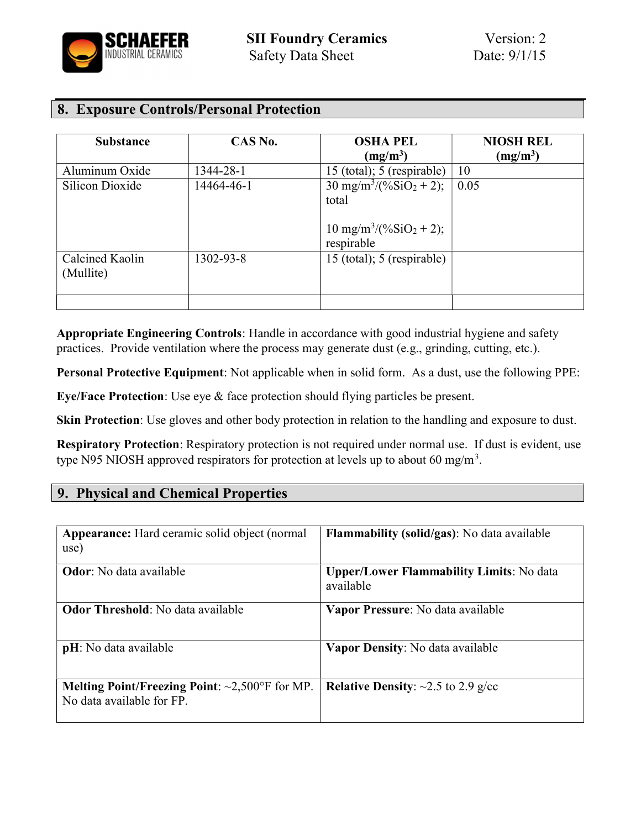

# 8. Exposure Controls/Personal Protection

| <b>Substance</b>             | CAS No.    | <b>OSHA PEL</b>                                                                                   | <b>NIOSH REL</b> |
|------------------------------|------------|---------------------------------------------------------------------------------------------------|------------------|
|                              |            | $(mg/m^3)$                                                                                        | $(mg/m^3)$       |
| Aluminum Oxide               | 1344-28-1  | 15 (total); 5 (respirable)                                                                        | 10               |
| Silicon Dioxide              | 14464-46-1 | $30 \text{ mg/m}^3/(96 \text{SiO}_2 + 2);$<br>total<br>$10 \text{ mg/m}^3/(96 \text{SiO}_2 + 2);$ | 0.05             |
| Calcined Kaolin<br>(Mullite) | 1302-93-8  | respirable<br>15 (total); 5 (respirable)                                                          |                  |
|                              |            |                                                                                                   |                  |

Appropriate Engineering Controls: Handle in accordance with good industrial hygiene and safety practices. Provide ventilation where the process may generate dust (e.g., grinding, cutting, etc.).

Personal Protective Equipment: Not applicable when in solid form. As a dust, use the following PPE:

Eye/Face Protection: Use eye & face protection should flying particles be present.

Skin Protection: Use gloves and other body protection in relation to the handling and exposure to dust.

Respiratory Protection: Respiratory protection is not required under normal use. If dust is evident, use type N95 NIOSH approved respirators for protection at levels up to about 60 mg/m<sup>3</sup>.

## 9. Physical and Chemical Properties

| <b>Appearance:</b> Hard ceramic solid object (normal<br>use)                              | <b>Flammability (solid/gas)</b> : No data available          |
|-------------------------------------------------------------------------------------------|--------------------------------------------------------------|
| <b>Odor</b> : No data available                                                           | <b>Upper/Lower Flammability Limits: No data</b><br>available |
| <b>Odor Threshold:</b> No data available                                                  | Vapor Pressure: No data available                            |
| <b>pH</b> : No data available                                                             | Vapor Density: No data available                             |
| <b>Melting Point/Freezing Point:</b> $\sim 2,500$ °F for MP.<br>No data available for FP. | <b>Relative Density:</b> $\sim$ 2.5 to 2.9 g/cc              |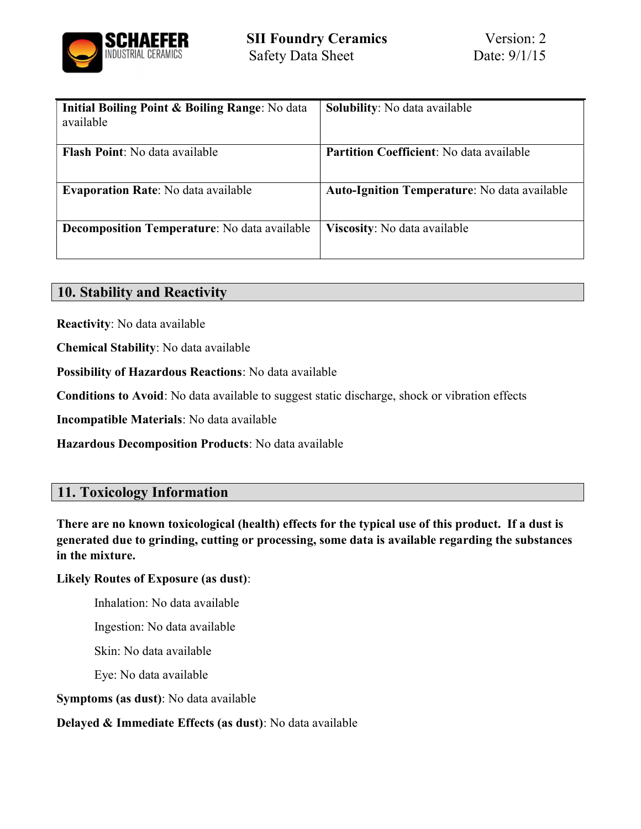

| <b>Initial Boiling Point &amp; Boiling Range:</b> No data | <b>Solubility:</b> No data available                |
|-----------------------------------------------------------|-----------------------------------------------------|
| available                                                 |                                                     |
|                                                           |                                                     |
| Flash Point: No data available                            | <b>Partition Coefficient:</b> No data available     |
| <b>Evaporation Rate:</b> No data available                | <b>Auto-Ignition Temperature:</b> No data available |
| <b>Decomposition Temperature:</b> No data available       | Viscosity: No data available                        |

## 10. Stability and Reactivity

Reactivity: No data available

Chemical Stability: No data available

Possibility of Hazardous Reactions: No data available

Conditions to Avoid: No data available to suggest static discharge, shock or vibration effects

Incompatible Materials: No data available

Hazardous Decomposition Products: No data available

## 11. Toxicology Information

There are no known toxicological (health) effects for the typical use of this product. If a dust is generated due to grinding, cutting or processing, some data is available regarding the substances in the mixture.

#### Likely Routes of Exposure (as dust):

Inhalation: No data available

Ingestion: No data available

Skin: No data available

Eye: No data available

Symptoms (as dust): No data available

Delayed & Immediate Effects (as dust): No data available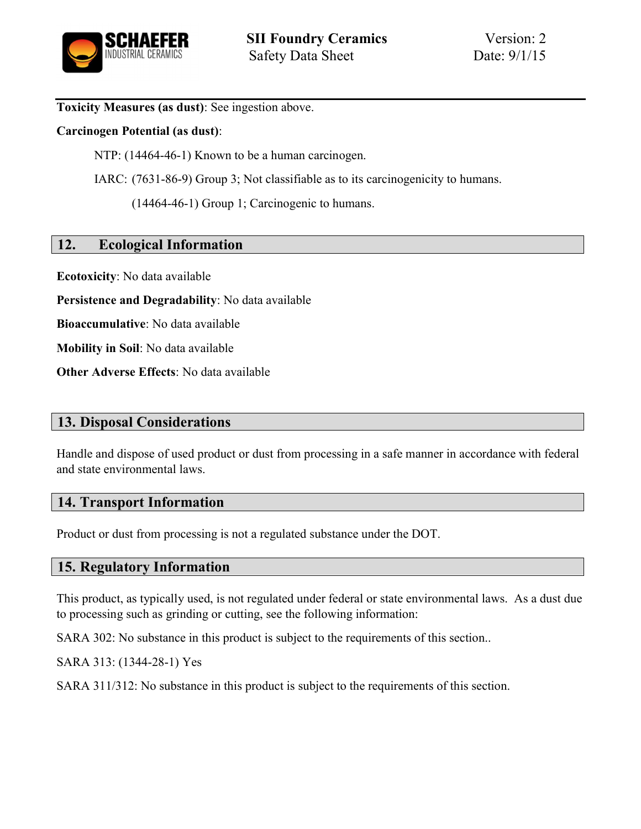

Toxicity Measures (as dust): See ingestion above.

#### Carcinogen Potential (as dust):

NTP: (14464-46-1) Known to be a human carcinogen.

IARC: (7631-86-9) Group 3; Not classifiable as to its carcinogenicity to humans.

(14464-46-1) Group 1; Carcinogenic to humans.

### 12. Ecological Information

Ecotoxicity: No data available

Persistence and Degradability: No data available

Bioaccumulative: No data available

Mobility in Soil: No data available

Other Adverse Effects: No data available

## 13. Disposal Considerations

Handle and dispose of used product or dust from processing in a safe manner in accordance with federal and state environmental laws.

### 14. Transport Information

Product or dust from processing is not a regulated substance under the DOT.

### 15. Regulatory Information

This product, as typically used, is not regulated under federal or state environmental laws. As a dust due to processing such as grinding or cutting, see the following information:

SARA 302: No substance in this product is subject to the requirements of this section..

SARA 313: (1344-28-1) Yes

SARA 311/312: No substance in this product is subject to the requirements of this section.